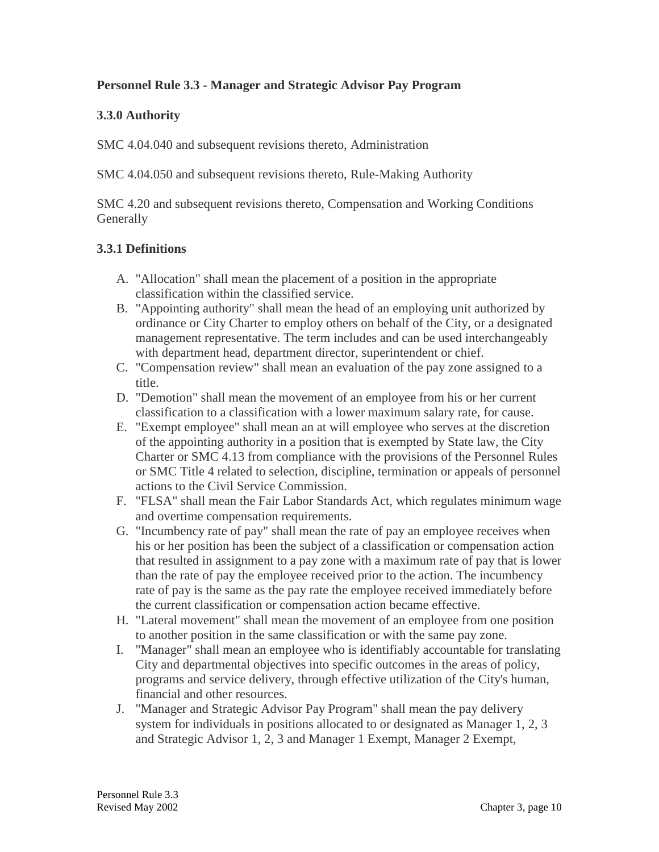# **Personnel Rule 3.3 - Manager and Strategic Advisor Pay Program**

#### **3.3.0 Authority**

SMC 4.04.040 and subsequent revisions thereto, Administration

SMC 4.04.050 and subsequent revisions thereto, Rule-Making Authority

SMC 4.20 and subsequent revisions thereto, Compensation and Working Conditions **Generally** 

### **3.3.1 Definitions**

- A. "Allocation" shall mean the placement of a position in the appropriate classification within the classified service.
- B. "Appointing authority" shall mean the head of an employing unit authorized by ordinance or City Charter to employ others on behalf of the City, or a designated management representative. The term includes and can be used interchangeably with department head, department director, superintendent or chief.
- C. "Compensation review" shall mean an evaluation of the pay zone assigned to a title.
- D. "Demotion" shall mean the movement of an employee from his or her current classification to a classification with a lower maximum salary rate, for cause.
- E. "Exempt employee" shall mean an at will employee who serves at the discretion of the appointing authority in a position that is exempted by State law, the City Charter or SMC 4.13 from compliance with the provisions of the Personnel Rules or SMC Title 4 related to selection, discipline, termination or appeals of personnel actions to the Civil Service Commission.
- F. "FLSA" shall mean the Fair Labor Standards Act, which regulates minimum wage and overtime compensation requirements.
- G. "Incumbency rate of pay" shall mean the rate of pay an employee receives when his or her position has been the subject of a classification or compensation action that resulted in assignment to a pay zone with a maximum rate of pay that is lower than the rate of pay the employee received prior to the action. The incumbency rate of pay is the same as the pay rate the employee received immediately before the current classification or compensation action became effective.
- H. "Lateral movement" shall mean the movement of an employee from one position to another position in the same classification or with the same pay zone.
- I. "Manager" shall mean an employee who is identifiably accountable for translating City and departmental objectives into specific outcomes in the areas of policy, programs and service delivery, through effective utilization of the City's human, financial and other resources.
- J. "Manager and Strategic Advisor Pay Program" shall mean the pay delivery system for individuals in positions allocated to or designated as Manager 1, 2, 3 and Strategic Advisor 1, 2, 3 and Manager 1 Exempt, Manager 2 Exempt,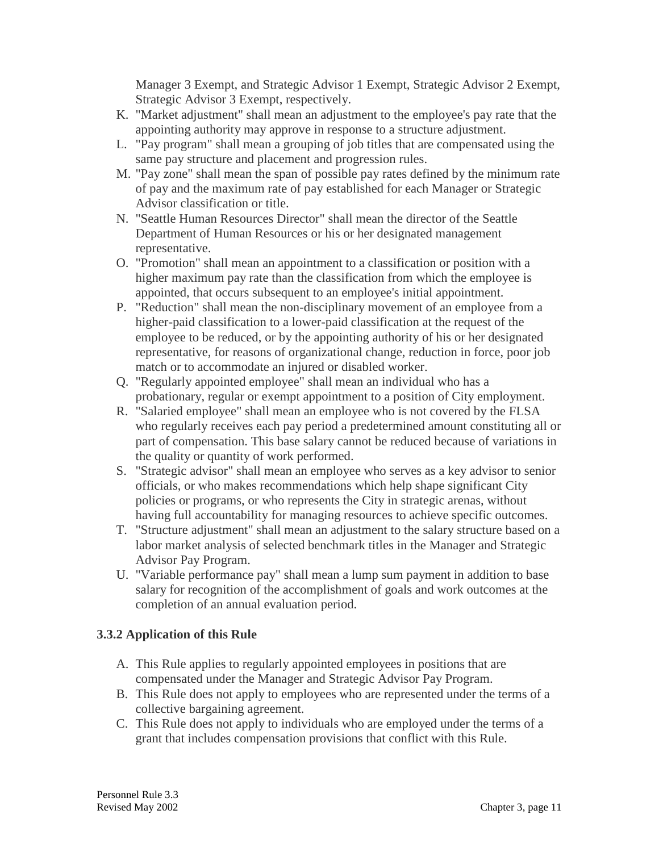Manager 3 Exempt, and Strategic Advisor 1 Exempt, Strategic Advisor 2 Exempt, Strategic Advisor 3 Exempt, respectively.

- K. "Market adjustment" shall mean an adjustment to the employee's pay rate that the appointing authority may approve in response to a structure adjustment.
- L. "Pay program" shall mean a grouping of job titles that are compensated using the same pay structure and placement and progression rules.
- M. "Pay zone" shall mean the span of possible pay rates defined by the minimum rate of pay and the maximum rate of pay established for each Manager or Strategic Advisor classification or title.
- N. "Seattle Human Resources Director" shall mean the director of the Seattle Department of Human Resources or his or her designated management representative.
- O. "Promotion" shall mean an appointment to a classification or position with a higher maximum pay rate than the classification from which the employee is appointed, that occurs subsequent to an employee's initial appointment.
- P. "Reduction" shall mean the non-disciplinary movement of an employee from a higher-paid classification to a lower-paid classification at the request of the employee to be reduced, or by the appointing authority of his or her designated representative, for reasons of organizational change, reduction in force, poor job match or to accommodate an injured or disabled worker.
- Q. "Regularly appointed employee" shall mean an individual who has a probationary, regular or exempt appointment to a position of City employment.
- R. "Salaried employee" shall mean an employee who is not covered by the FLSA who regularly receives each pay period a predetermined amount constituting all or part of compensation. This base salary cannot be reduced because of variations in the quality or quantity of work performed.
- S. "Strategic advisor" shall mean an employee who serves as a key advisor to senior officials, or who makes recommendations which help shape significant City policies or programs, or who represents the City in strategic arenas, without having full accountability for managing resources to achieve specific outcomes.
- T. "Structure adjustment" shall mean an adjustment to the salary structure based on a labor market analysis of selected benchmark titles in the Manager and Strategic Advisor Pay Program.
- U. "Variable performance pay" shall mean a lump sum payment in addition to base salary for recognition of the accomplishment of goals and work outcomes at the completion of an annual evaluation period.

# **3.3.2 Application of this Rule**

- A. This Rule applies to regularly appointed employees in positions that are compensated under the Manager and Strategic Advisor Pay Program.
- B. This Rule does not apply to employees who are represented under the terms of a collective bargaining agreement.
- C. This Rule does not apply to individuals who are employed under the terms of a grant that includes compensation provisions that conflict with this Rule.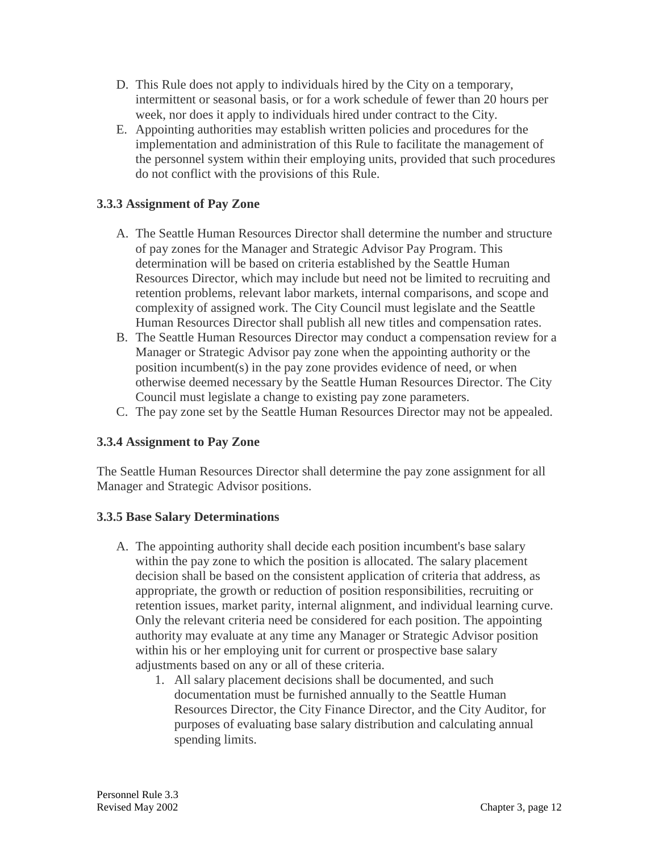- D. This Rule does not apply to individuals hired by the City on a temporary, intermittent or seasonal basis, or for a work schedule of fewer than 20 hours per week, nor does it apply to individuals hired under contract to the City.
- E. Appointing authorities may establish written policies and procedures for the implementation and administration of this Rule to facilitate the management of the personnel system within their employing units, provided that such procedures do not conflict with the provisions of this Rule.

### **3.3.3 Assignment of Pay Zone**

- A. The Seattle Human Resources Director shall determine the number and structure of pay zones for the Manager and Strategic Advisor Pay Program. This determination will be based on criteria established by the Seattle Human Resources Director, which may include but need not be limited to recruiting and retention problems, relevant labor markets, internal comparisons, and scope and complexity of assigned work. The City Council must legislate and the Seattle Human Resources Director shall publish all new titles and compensation rates.
- B. The Seattle Human Resources Director may conduct a compensation review for a Manager or Strategic Advisor pay zone when the appointing authority or the position incumbent(s) in the pay zone provides evidence of need, or when otherwise deemed necessary by the Seattle Human Resources Director. The City Council must legislate a change to existing pay zone parameters.
- C. The pay zone set by the Seattle Human Resources Director may not be appealed.

#### **3.3.4 Assignment to Pay Zone**

The Seattle Human Resources Director shall determine the pay zone assignment for all Manager and Strategic Advisor positions.

#### **3.3.5 Base Salary Determinations**

- A. The appointing authority shall decide each position incumbent's base salary within the pay zone to which the position is allocated. The salary placement decision shall be based on the consistent application of criteria that address, as appropriate, the growth or reduction of position responsibilities, recruiting or retention issues, market parity, internal alignment, and individual learning curve. Only the relevant criteria need be considered for each position. The appointing authority may evaluate at any time any Manager or Strategic Advisor position within his or her employing unit for current or prospective base salary adjustments based on any or all of these criteria.
	- 1. All salary placement decisions shall be documented, and such documentation must be furnished annually to the Seattle Human Resources Director, the City Finance Director, and the City Auditor, for purposes of evaluating base salary distribution and calculating annual spending limits.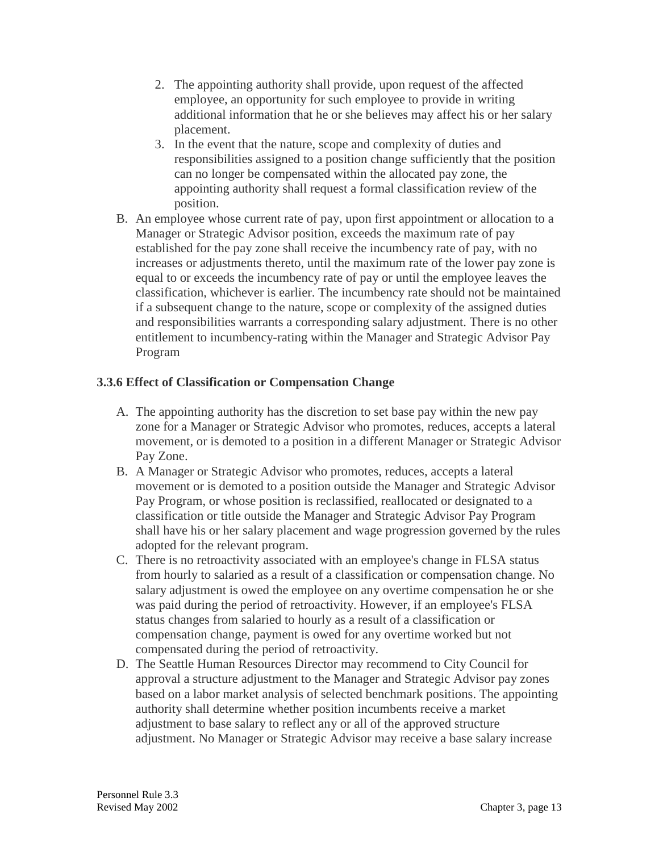- 2. The appointing authority shall provide, upon request of the affected employee, an opportunity for such employee to provide in writing additional information that he or she believes may affect his or her salary placement.
- 3. In the event that the nature, scope and complexity of duties and responsibilities assigned to a position change sufficiently that the position can no longer be compensated within the allocated pay zone, the appointing authority shall request a formal classification review of the position.
- B. An employee whose current rate of pay, upon first appointment or allocation to a Manager or Strategic Advisor position, exceeds the maximum rate of pay established for the pay zone shall receive the incumbency rate of pay, with no increases or adjustments thereto, until the maximum rate of the lower pay zone is equal to or exceeds the incumbency rate of pay or until the employee leaves the classification, whichever is earlier. The incumbency rate should not be maintained if a subsequent change to the nature, scope or complexity of the assigned duties and responsibilities warrants a corresponding salary adjustment. There is no other entitlement to incumbency-rating within the Manager and Strategic Advisor Pay Program

### **3.3.6 Effect of Classification or Compensation Change**

- A. The appointing authority has the discretion to set base pay within the new pay zone for a Manager or Strategic Advisor who promotes, reduces, accepts a lateral movement, or is demoted to a position in a different Manager or Strategic Advisor Pay Zone.
- B. A Manager or Strategic Advisor who promotes, reduces, accepts a lateral movement or is demoted to a position outside the Manager and Strategic Advisor Pay Program, or whose position is reclassified, reallocated or designated to a classification or title outside the Manager and Strategic Advisor Pay Program shall have his or her salary placement and wage progression governed by the rules adopted for the relevant program.
- C. There is no retroactivity associated with an employee's change in FLSA status from hourly to salaried as a result of a classification or compensation change. No salary adjustment is owed the employee on any overtime compensation he or she was paid during the period of retroactivity. However, if an employee's FLSA status changes from salaried to hourly as a result of a classification or compensation change, payment is owed for any overtime worked but not compensated during the period of retroactivity.
- D. The Seattle Human Resources Director may recommend to City Council for approval a structure adjustment to the Manager and Strategic Advisor pay zones based on a labor market analysis of selected benchmark positions. The appointing authority shall determine whether position incumbents receive a market adjustment to base salary to reflect any or all of the approved structure adjustment. No Manager or Strategic Advisor may receive a base salary increase